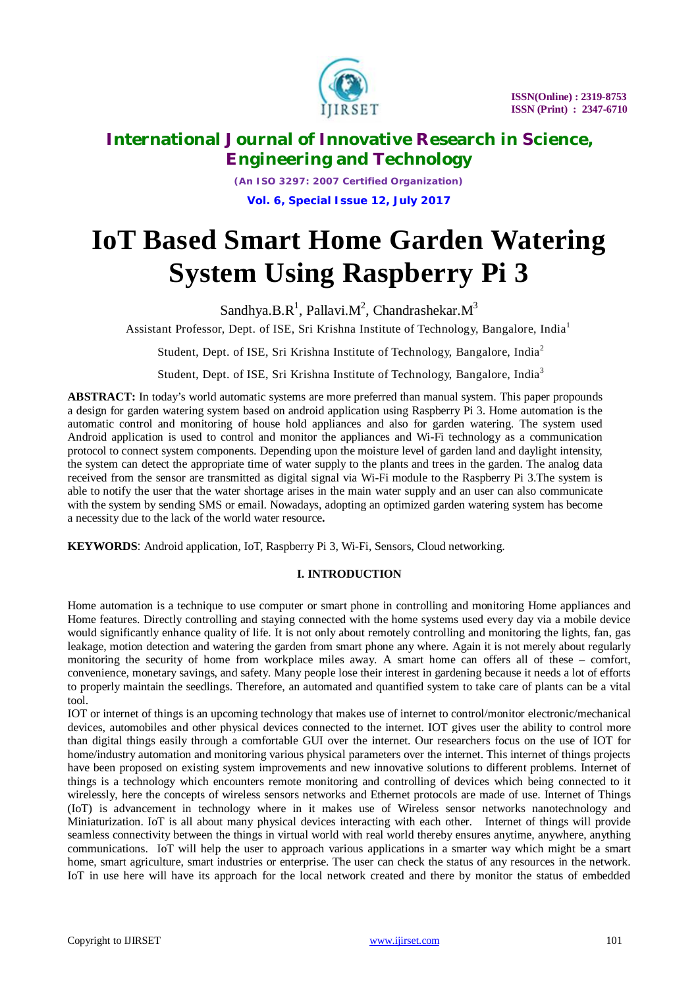

*(An ISO 3297: 2007 Certified Organization)* **Vol. 6, Special Issue 12, July 2017**

# **IoT Based Smart Home Garden Watering System Using Raspberry Pi 3**

Sandhya.B.R<sup>1</sup>, Pallavi.M<sup>2</sup>, Chandrashekar.M<sup>3</sup>

Assistant Professor, Dept. of ISE, Sri Krishna Institute of Technology, Bangalore, India<sup>1</sup>

Student, Dept. of ISE, Sri Krishna Institute of Technology, Bangalore, India<sup>2</sup>

Student, Dept. of ISE, Sri Krishna Institute of Technology, Bangalore, India<sup>3</sup>

**ABSTRACT:** In today's world automatic systems are more preferred than manual system. This paper propounds a design for garden watering system based on android application using Raspberry Pi 3. Home automation is the automatic control and monitoring of house hold appliances and also for garden watering. The system used Android application is used to control and monitor the appliances and Wi-Fi technology as a communication protocol to connect system components. Depending upon the moisture level of garden land and daylight intensity, the system can detect the appropriate time of water supply to the plants and trees in the garden. The analog data received from the sensor are transmitted as digital signal via Wi-Fi module to the Raspberry Pi 3.The system is able to notify the user that the water shortage arises in the main water supply and an user can also communicate with the system by sending SMS or email. Nowadays, adopting an optimized garden watering system has become a necessity due to the lack of the world water resource**.**

**KEYWORDS**: Android application, IoT, Raspberry Pi 3, Wi-Fi, Sensors, Cloud networking.

### **I. INTRODUCTION**

Home automation is a technique to use computer or smart phone in controlling and monitoring Home appliances and Home features. Directly controlling and staying connected with the home systems used every day via a mobile device would significantly enhance quality of life. It is not only about remotely controlling and monitoring the lights, fan, gas leakage, motion detection and watering the garden from smart phone any where. Again it is not merely about regularly monitoring the security of home from workplace miles away. A smart home can offers all of these – comfort, convenience, monetary savings, and safety. Many people lose their interest in gardening because it needs a lot of efforts to properly maintain the seedlings. Therefore, an automated and quantified system to take care of plants can be a vital tool.

IOT or internet of things is an upcoming technology that makes use of internet to control/monitor electronic/mechanical devices, automobiles and other physical devices connected to the internet. IOT gives user the ability to control more than digital things easily through a comfortable GUI over the internet. Our researchers focus on the use of IOT for home/industry automation and monitoring various physical parameters over the internet. This internet of things projects have been proposed on existing system improvements and new innovative solutions to different problems. Internet of things is a technology which encounters remote monitoring and controlling of devices which being connected to it wirelessly, here the concepts of wireless sensors networks and Ethernet protocols are made of use. Internet of Things (IoT) is advancement in technology where in it makes use of Wireless sensor networks nanotechnology and Miniaturization. IoT is all about many physical devices interacting with each other. Internet of things will provide seamless connectivity between the things in virtual world with real world thereby ensures anytime, anywhere, anything communications. IoT will help the user to approach various applications in a smarter way which might be a smart home, smart agriculture, smart industries or enterprise. The user can check the status of any resources in the network. IoT in use here will have its approach for the local network created and there by monitor the status of embedded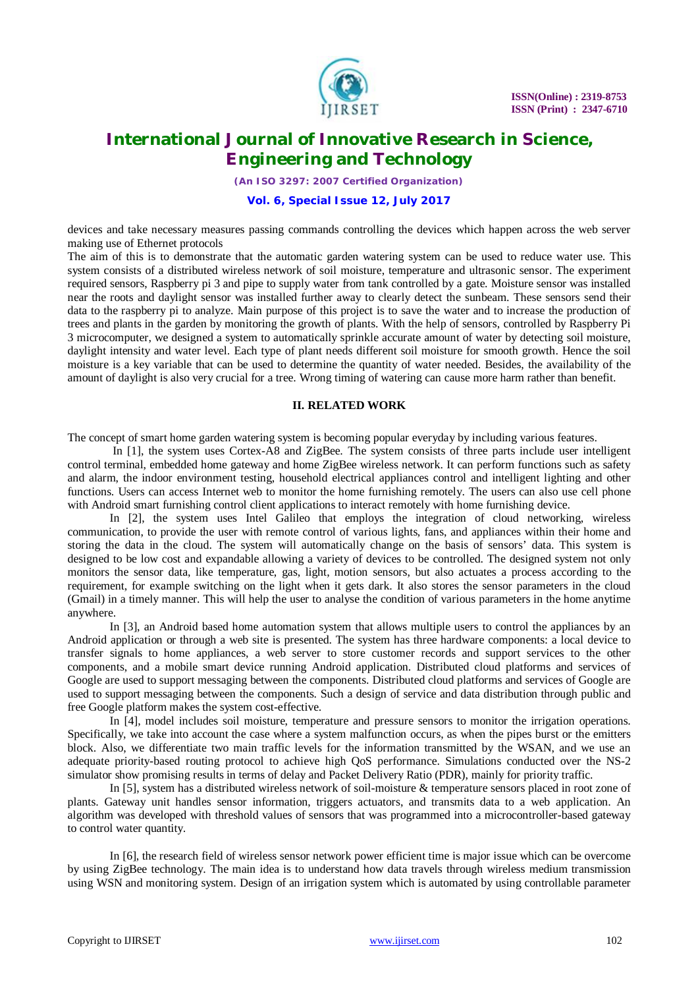

*(An ISO 3297: 2007 Certified Organization)*

### **Vol. 6, Special Issue 12, July 2017**

devices and take necessary measures passing commands controlling the devices which happen across the web server making use of Ethernet protocols

The aim of this is to demonstrate that the automatic garden watering system can be used to reduce water use. This system consists of a distributed wireless network of soil moisture, temperature and ultrasonic sensor. The experiment required sensors, Raspberry pi 3 and pipe to supply water from tank controlled by a gate. Moisture sensor was installed near the roots and daylight sensor was installed further away to clearly detect the sunbeam. These sensors send their data to the raspberry pi to analyze. Main purpose of this project is to save the water and to increase the production of trees and plants in the garden by monitoring the growth of plants. With the help of sensors, controlled by Raspberry Pi 3 microcomputer, we designed a system to automatically sprinkle accurate amount of water by detecting soil moisture, daylight intensity and water level. Each type of plant needs different soil moisture for smooth growth. Hence the soil moisture is a key variable that can be used to determine the quantity of water needed. Besides, the availability of the amount of daylight is also very crucial for a tree. Wrong timing of watering can cause more harm rather than benefit.

### **II. RELATED WORK**

The concept of smart home garden watering system is becoming popular everyday by including various features.

In [1], the system uses Cortex-A8 and ZigBee. The system consists of three parts include user intelligent control terminal, embedded home gateway and home ZigBee wireless network. It can perform functions such as safety and alarm, the indoor environment testing, household electrical appliances control and intelligent lighting and other functions. Users can access Internet web to monitor the home furnishing remotely. The users can also use cell phone with Android smart furnishing control client applications to interact remotely with home furnishing device.

In [2], the system uses Intel Galileo that employs the integration of cloud networking, wireless communication, to provide the user with remote control of various lights, fans, and appliances within their home and storing the data in the cloud. The system will automatically change on the basis of sensors' data. This system is designed to be low cost and expandable allowing a variety of devices to be controlled. The designed system not only monitors the sensor data, like temperature, gas, light, motion sensors, but also actuates a process according to the requirement, for example switching on the light when it gets dark. It also stores the sensor parameters in the cloud (Gmail) in a timely manner. This will help the user to analyse the condition of various parameters in the home anytime anywhere.

In [3], an Android based home automation system that allows multiple users to control the appliances by an Android application or through a web site is presented. The system has three hardware components: a local device to transfer signals to home appliances, a web server to store customer records and support services to the other components, and a mobile smart device running Android application. Distributed cloud platforms and services of Google are used to support messaging between the components. Distributed cloud platforms and services of Google are used to support messaging between the components. Such a design of service and data distribution through public and free Google platform makes the system cost-effective.

In [4], model includes soil moisture, temperature and pressure sensors to monitor the irrigation operations. Specifically, we take into account the case where a system malfunction occurs, as when the pipes burst or the emitters block. Also, we differentiate two main traffic levels for the information transmitted by the WSAN, and we use an adequate priority-based routing protocol to achieve high QoS performance. Simulations conducted over the NS-2 simulator show promising results in terms of delay and Packet Delivery Ratio (PDR), mainly for priority traffic.

In [5], system has a distributed wireless network of soil-moisture & temperature sensors placed in root zone of plants. Gateway unit handles sensor information, triggers actuators, and transmits data to a web application. An algorithm was developed with threshold values of sensors that was programmed into a microcontroller-based gateway to control water quantity.

In [6], the research field of wireless sensor network power efficient time is major issue which can be overcome by using ZigBee technology. The main idea is to understand how data travels through wireless medium transmission using WSN and monitoring system. Design of an irrigation system which is automated by using controllable parameter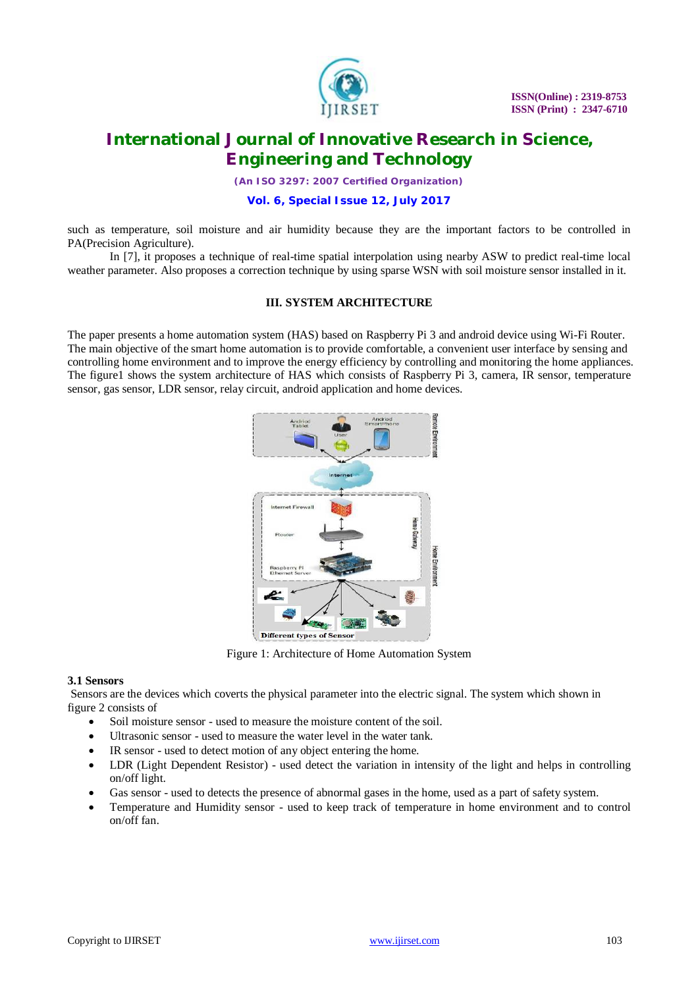

*(An ISO 3297: 2007 Certified Organization)*

### **Vol. 6, Special Issue 12, July 2017**

such as temperature, soil moisture and air humidity because they are the important factors to be controlled in PA(Precision Agriculture).

In [7], it proposes a technique of real-time spatial interpolation using nearby ASW to predict real-time local weather parameter. Also proposes a correction technique by using sparse WSN with soil moisture sensor installed in it.

### **III. SYSTEM ARCHITECTURE**

The paper presents a home automation system (HAS) based on Raspberry Pi 3 and android device using Wi-Fi Router. The main objective of the smart home automation is to provide comfortable, a convenient user interface by sensing and controlling home environment and to improve the energy efficiency by controlling and monitoring the home appliances. The figure1 shows the system architecture of HAS which consists of Raspberry Pi 3, camera, IR sensor, temperature sensor, gas sensor, LDR sensor, relay circuit, android application and home devices.



Figure 1: Architecture of Home Automation System

#### **3.1 Sensors**

Sensors are the devices which coverts the physical parameter into the electric signal. The system which shown in figure 2 consists of

- Soil moisture sensor used to measure the moisture content of the soil.
- Ultrasonic sensor used to measure the water level in the water tank.
- IR sensor used to detect motion of any object entering the home.
- LDR (Light Dependent Resistor) used detect the variation in intensity of the light and helps in controlling on/off light.
- Gas sensor used to detects the presence of abnormal gases in the home, used as a part of safety system.
- Temperature and Humidity sensor used to keep track of temperature in home environment and to control on/off fan.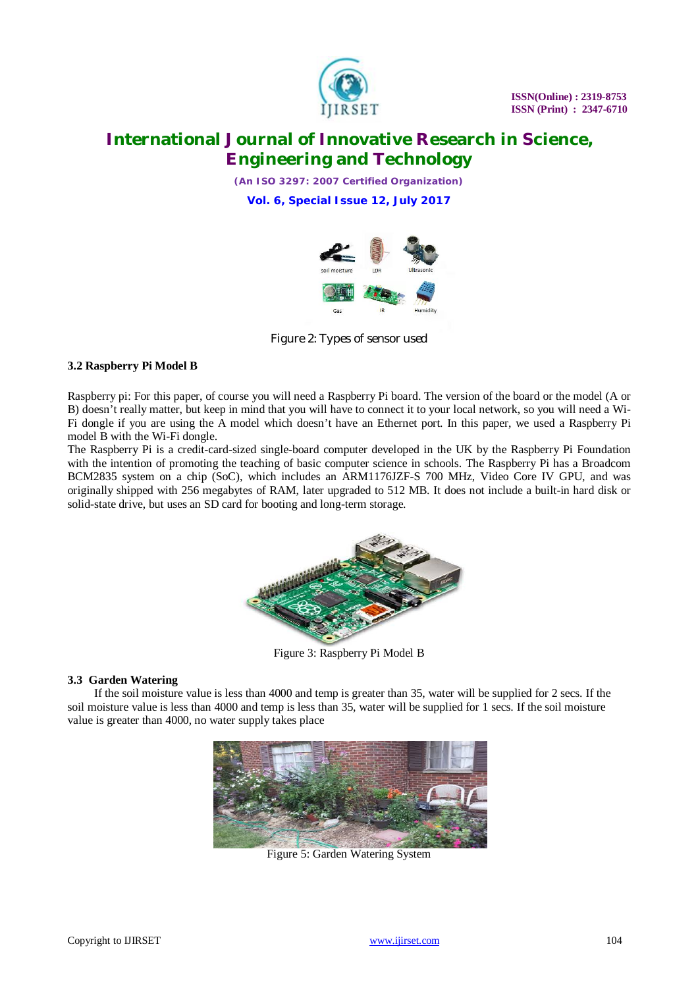

*(An ISO 3297: 2007 Certified Organization)*

**Vol. 6, Special Issue 12, July 2017**



Figure 2: Types of sensor used

### **3.2 Raspberry Pi Model B**

Raspberry pi: For this paper, of course you will need a Raspberry Pi board. The version of the board or the model (A or B) doesn't really matter, but keep in mind that you will have to connect it to your local network, so you will need a Wi-Fi dongle if you are using the A model which doesn't have an Ethernet port. In this paper, we used a Raspberry Pi model B with the Wi-Fi dongle.

The Raspberry Pi is a credit-card-sized single-board computer developed in the UK by the Raspberry Pi Foundation with the intention of promoting the teaching of basic computer science in schools. The Raspberry Pi has a Broadcom BCM2835 system on a chip (SoC), which includes an ARM1176JZF-S 700 MHz, Video Core IV GPU, and was originally shipped with 256 megabytes of RAM, later upgraded to 512 MB. It does not include a built-in hard disk or solid-state drive, but uses an SD card for booting and long-term storage.



Figure 3: Raspberry Pi Model B

### **3.3 Garden Watering**

If the soil moisture value is less than 4000 and temp is greater than 35, water will be supplied for 2 secs. If the soil moisture value is less than 4000 and temp is less than 35, water will be supplied for 1 secs. If the soil moisture value is greater than 4000, no water supply takes place



Figure 5: Garden Watering System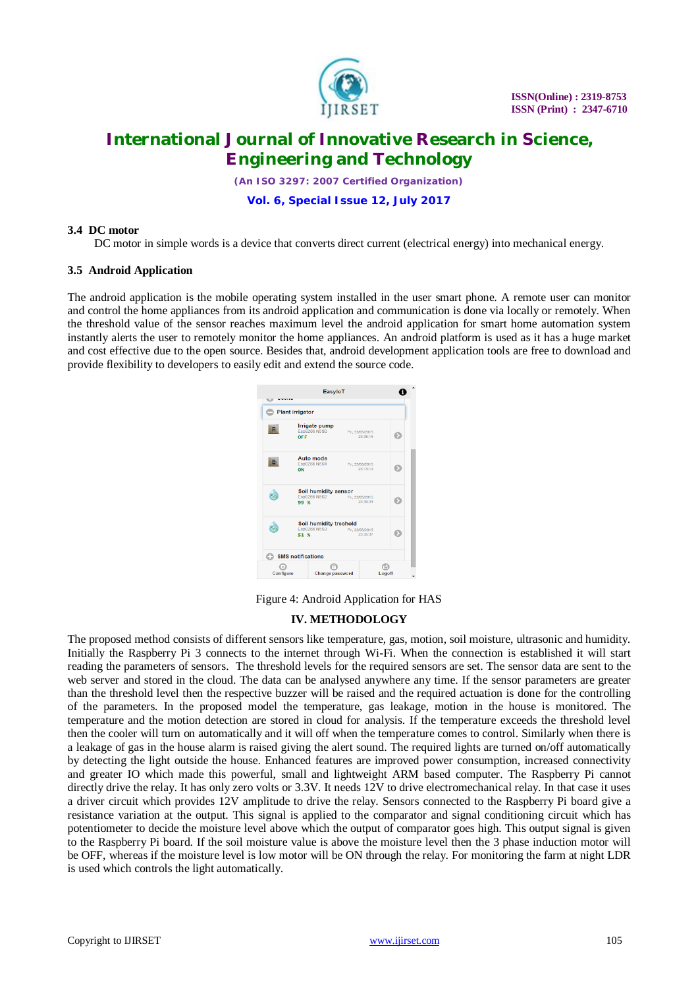

*(An ISO 3297: 2007 Certified Organization)*

**Vol. 6, Special Issue 12, July 2017**

#### **3.4 DC motor**

DC motor in simple words is a device that converts direct current (electrical energy) into mechanical energy.

#### **3.5 Android Application**

The android application is the mobile operating system installed in the user smart phone. A remote user can monitor and control the home appliances from its android application and communication is done via locally or remotely. When the threshold value of the sensor reaches maximum level the android application for smart home automation system instantly alerts the user to remotely monitor the home appliances. An android platform is used as it has a huge market and cost effective due to the open source. Besides that, android development application tools are free to download and provide flexibility to developers to easily edit and extend the source code.

| -------<br>w | EasyloT                                        |                             | н |
|--------------|------------------------------------------------|-----------------------------|---|
|              | <b>Plant irrigator</b>                         |                             |   |
|              | Irrigate pump<br>Esp8266 N5S0<br>OFF           | Fri, 22/05/2015<br>23:35:15 | Ð |
|              | Auto mode<br>Esp8266 N5S1<br>ON                | Fri, 22/05/2015<br>23:13:12 | Ð |
|              | Soil humidity sensor<br>Esp8266 N5S2<br>99 %   | Fri, 22/05/2015<br>23:39:33 | D |
|              | Soil humidity treshold<br>Esp8266 N5S3<br>51 % | Fri. 22/05/2015<br>23:35:37 | D |
|              | <b>SMS notifications</b>                       |                             |   |
| Configure    |                                                | Change password<br>Logoff   |   |

Figure 4: Android Application for HAS

### **IV. METHODOLOGY**

The proposed method consists of different sensors like temperature, gas, motion, soil moisture, ultrasonic and humidity. Initially the Raspberry Pi 3 connects to the internet through Wi-Fi. When the connection is established it will start reading the parameters of sensors. The threshold levels for the required sensors are set. The sensor data are sent to the web server and stored in the cloud. The data can be analysed anywhere any time. If the sensor parameters are greater than the threshold level then the respective buzzer will be raised and the required actuation is done for the controlling of the parameters. In the proposed model the temperature, gas leakage, motion in the house is monitored. The temperature and the motion detection are stored in cloud for analysis. If the temperature exceeds the threshold level then the cooler will turn on automatically and it will off when the temperature comes to control. Similarly when there is a leakage of gas in the house alarm is raised giving the alert sound. The required lights are turned on/off automatically by detecting the light outside the house. Enhanced features are improved power consumption, increased connectivity and greater IO which made this powerful, small and lightweight ARM based computer. The Raspberry Pi cannot directly drive the relay. It has only zero volts or 3.3V. It needs 12V to drive electromechanical relay. In that case it uses a driver circuit which provides 12V amplitude to drive the relay. Sensors connected to the Raspberry Pi board give a resistance variation at the output. This signal is applied to the comparator and signal conditioning circuit which has potentiometer to decide the moisture level above which the output of comparator goes high. This output signal is given to the Raspberry Pi board. If the soil moisture value is above the moisture level then the 3 phase induction motor will be OFF, whereas if the moisture level is low motor will be ON through the relay. For monitoring the farm at night LDR is used which controls the light automatically.